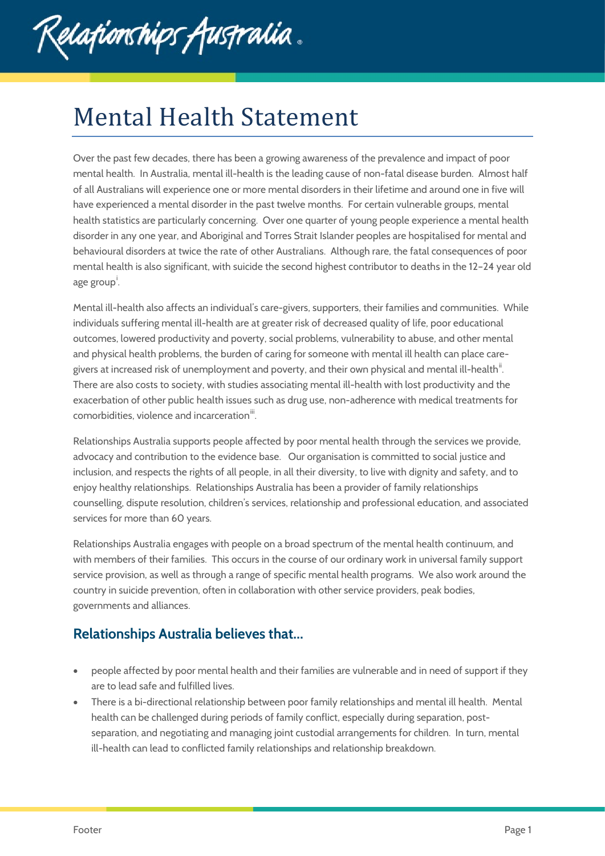

## Mental Health Statement

Over the past few decades, there has been a growing awareness of the prevalence and impact of poor mental health. In Australia, mental ill-health is the leading cause of non-fatal disease burden. Almost half of all Australians will experience one or more mental disorders in their lifetime and around one in five will have experienced a mental disorder in the past twelve months. For certain vulnerable groups, mental health statistics are particularly concerning. Over one quarter of young people experience a mental health disorder in any one year, and Aboriginal and Torres Strait Islander peoples are hospitalised for mental and behavioural disorders at twice the rate of other Australians. Although rare, the fatal consequences of poor mental health is also significant, with suicide the second highest contributor to deaths in the 12–24 year old age group<sup>[i](#page-2-0)</sup>.

Mental ill-health also affects an individual's care-givers, supporters, their families and communities. While individuals suffering mental ill-health are at greater risk of decreased quality of life, poor educational outcomes, lowered productivity and poverty, social problems, vulnerability to abuse, and other mental and physical health problems, the burden of caring for someone with mental ill health can place caregivers at increased risk of unemployment and poverty, and their own physical and mental ill-health $^{\text{ii}}$  $^{\text{ii}}$  $^{\text{ii}}$ . There are also costs to society, with studies associating mental ill-health with lost productivity and the exacerbation of other public health issues such as drug use, non-adherence with medical treatments for comorbidities, violence and incarceration<sup>[iii](#page-2-2)</sup>.

Relationships Australia supports people affected by poor mental health through the services we provide, advocacy and contribution to the evidence base. Our organisation is committed to social justice and inclusion, and respects the rights of all people, in all their diversity, to live with dignity and safety, and to enjoy healthy relationships. Relationships Australia has been a provider of family relationships counselling, dispute resolution, children's services, relationship and professional education, and associated services for more than 60 years.

Relationships Australia engages with people on a broad spectrum of the mental health continuum, and with members of their families. This occurs in the course of our ordinary work in universal family support service provision, as well as through a range of specific mental health programs. We also work around the country in suicide prevention, often in collaboration with other service providers, peak bodies, governments and alliances.

## **Relationships Australia believes that…**

- people affected by poor mental health and their families are vulnerable and in need of support if they are to lead safe and fulfilled lives.
- There is a bi-directional relationship between poor family relationships and mental ill health. Mental health can be challenged during periods of family conflict, especially during separation, postseparation, and negotiating and managing joint custodial arrangements for children. In turn, mental ill-health can lead to conflicted family relationships and relationship breakdown.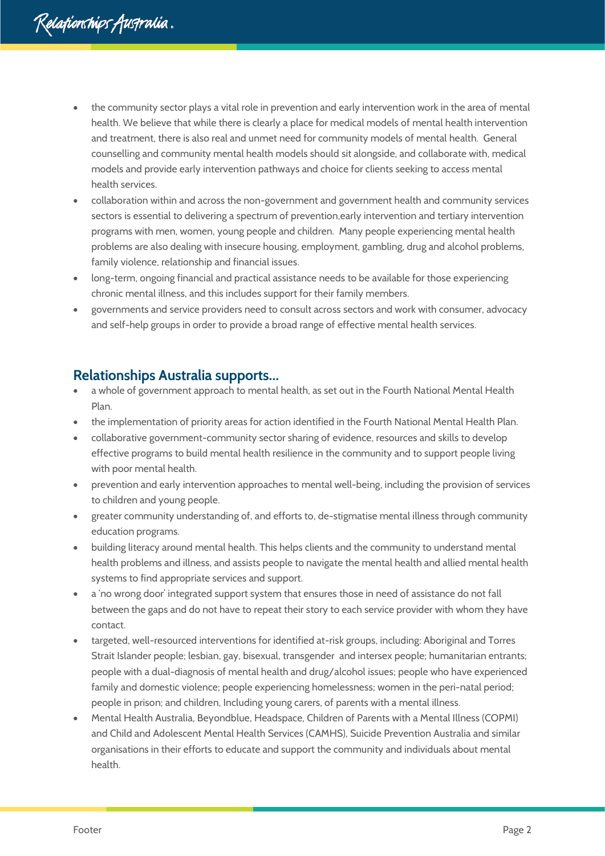- the community sector plays a vital role in prevention and early intervention work in the area of mental health. We believe that while there is clearly a place for medical models of mental health intervention and treatment, there is also real and unmet need for community models of mental health. General counselling and community mental health models should sit alongside, and collaborate with, medical models and provide early intervention pathways and choice for clients seeking to access mental health services.
- collaboration within and across the non-government and government health and community services sectors is essential to delivering a spectrum of prevention,early intervention and tertiary intervention programs with men, women, young people and children. Many people experiencing mental health problems are also dealing with insecure housing, employment, gambling, drug and alcohol problems, family violence, relationship and financial issues.
- long-term, ongoing financial and practical assistance needs to be available for those experiencing chronic mental illness, and this includes support for their family members.
- governments and service providers need to consult across sectors and work with consumer, advocacy and self-help groups in order to provide a broad range of effective mental health services.

## **Relationships Australia supports…**

- a whole of government approach to mental health, as set out in the Fourth National Mental Health Plan.
- the implementation of priority areas for action identified in the Fourth National Mental Health Plan.
- collaborative government-community sector sharing of evidence, resources and skills to develop effective programs to build mental health resilience in the community and to support people living with poor mental health.
- prevention and early intervention approaches to mental well-being, including the provision of services to children and young people.
- greater community understanding of, and efforts to, de-stigmatise mental illness through community education programs.
- building literacy around mental health. This helps clients and the community to understand mental health problems and illness, and assists people to navigate the mental health and allied mental health systems to find appropriate services and support.
- a 'no wrong door' integrated support system that ensures those in need of assistance do not fall between the gaps and do not have to repeat their story to each service provider with whom they have contact.
- targeted, well-resourced interventions for identified at-risk groups, including: Aboriginal and Torres Strait Islander people; lesbian, gay, bisexual, transgender and intersex people; humanitarian entrants; people with a dual-diagnosis of mental health and drug/alcohol issues; people who have experienced family and domestic violence; people experiencing homelessness; women in the peri-natal period; people in prison; and children, Including young carers, of parents with a mental illness.
- Mental Health Australia, Beyondblue, Headspace, Children of Parents with a Mental Illness (COPMI) and Child and Adolescent Mental Health Services (CAMHS), Suicide Prevention Australia and similar organisations in their efforts to educate and support the community and individuals about mental health.